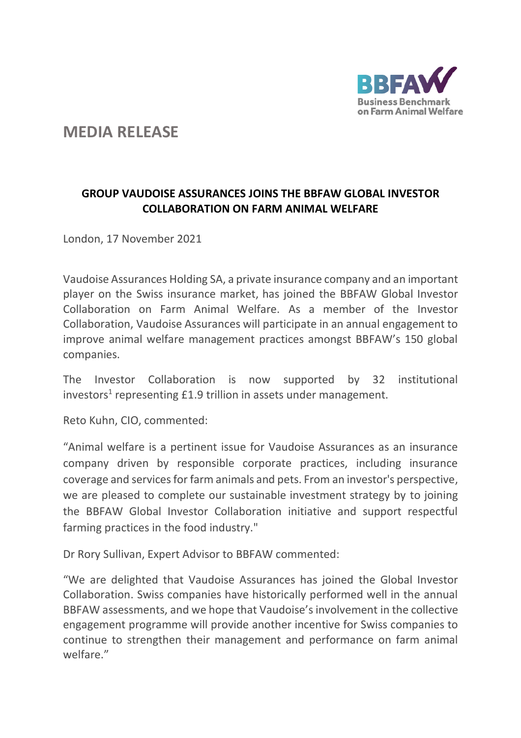

# **MEDIA RELEASE**

## **GROUP VAUDOISE ASSURANCES JOINS THE BBFAW GLOBAL INVESTOR COLLABORATION ON FARM ANIMAL WELFARE**

London, 17 November 2021

Vaudoise Assurances Holding SA, a private insurance company and an important player on the Swiss insurance market, has joined the BBFAW Global Investor Collaboration on Farm Animal Welfare. As a member of the Investor Collaboration, Vaudoise Assurances will participate in an annual engagement to improve animal welfare management practices amongst BBFAW's 150 global companies.

The Investor Collaboration is now supported by 32 institutional investors<sup>1</sup> representing £1.9 trillion in assets under management.

Reto Kuhn, CIO, commented:

"Animal welfare is a pertinent issue for Vaudoise Assurances as an insurance company driven by responsible corporate practices, including insurance coverage and services for farm animals and pets. From an investor's perspective, we are pleased to complete our sustainable investment strategy by to joining the BBFAW Global Investor Collaboration initiative and support respectful farming practices in the food industry."

Dr Rory Sullivan, Expert Advisor to BBFAW commented:

"We are delighted that Vaudoise Assurances has joined the Global Investor Collaboration. Swiss companies have historically performed well in the annual BBFAW assessments, and we hope that Vaudoise's involvement in the collective engagement programme will provide another incentive for Swiss companies to continue to strengthen their management and performance on farm animal welfare."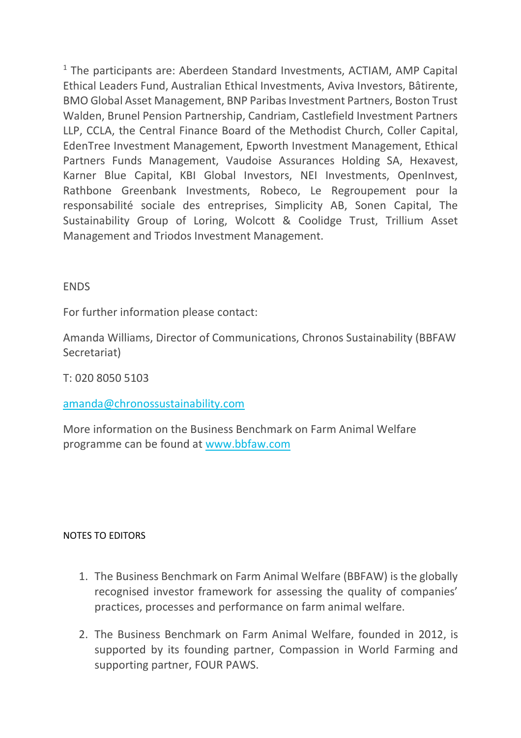$1$  The participants are: Aberdeen Standard Investments, ACTIAM, AMP Capital Ethical Leaders Fund, Australian Ethical Investments, Aviva Investors, Bâtirente, BMO Global Asset Management, BNP Paribas Investment Partners, Boston Trust Walden, Brunel Pension Partnership, Candriam, Castlefield Investment Partners LLP, CCLA, the Central Finance Board of the Methodist Church, Coller Capital, EdenTree Investment Management, Epworth Investment Management, Ethical Partners Funds Management, Vaudoise Assurances Holding SA, Hexavest, Karner Blue Capital, KBI Global Investors, NEI Investments, OpenInvest, Rathbone Greenbank Investments, Robeco, Le Regroupement pour la responsabilité sociale des entreprises, Simplicity AB, Sonen Capital, The Sustainability Group of Loring, Wolcott & Coolidge Trust, Trillium Asset Management and Triodos Investment Management.

### **ENDS**

For further information please contact:

Amanda Williams, Director of Communications, Chronos Sustainability (BBFAW Secretariat)

#### T: 020 8050 5103

#### [amanda@chronossustainability.com](mailto:amanda@chronossustainability.com)

More information on the Business Benchmark on Farm Animal Welfare programme can be found at [www.bbfaw.com](http://www.bbfaw.com/)

#### NOTES TO EDITORS

- 1. The Business Benchmark on Farm Animal Welfare (BBFAW) is the globally recognised investor framework for assessing the quality of companies' practices, processes and performance on farm animal welfare.
- 2. The Business Benchmark on Farm Animal Welfare, founded in 2012, is supported by its founding partner, Compassion in World Farming and supporting partner, FOUR PAWS.